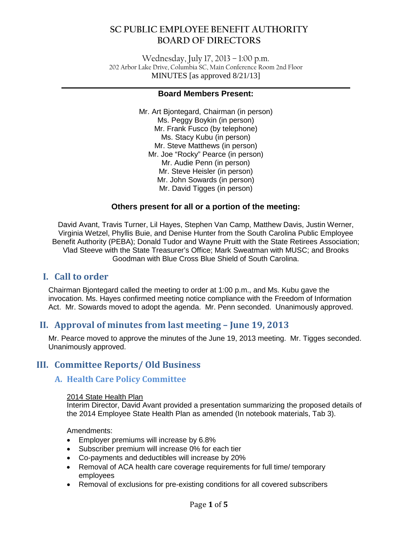Wednesday, July 17, 2013 – 1:00 p.m. 202 Arbor Lake Drive, Columbia SC, Main Conference Room 2nd Floor MINUTES [as approved 8/21/13]

#### **\_\_\_\_\_\_\_\_\_\_\_\_\_\_\_\_\_\_\_\_\_\_\_\_\_\_\_\_\_\_\_\_\_\_\_\_\_\_\_\_\_\_\_\_\_\_\_\_\_\_\_\_\_\_\_\_\_\_\_\_\_\_\_\_\_\_\_\_\_\_\_\_\_\_\_\_\_\_ Board Members Present:**

Mr. Art Bjontegard, Chairman (in person) Ms. Peggy Boykin (in person) Mr. Frank Fusco (by telephone) Ms. Stacy Kubu (in person) Mr. Steve Matthews (in person) Mr. Joe "Rocky" Pearce (in person) Mr. Audie Penn (in person) Mr. Steve Heisler (in person) Mr. John Sowards (in person) Mr. David Tigges (in person)

#### **Others present for all or a portion of the meeting:**

David Avant, Travis Turner, Lil Hayes, Stephen Van Camp, Matthew Davis, Justin Werner, Virginia Wetzel, Phyllis Buie, and Denise Hunter from the South Carolina Public Employee Benefit Authority (PEBA); Donald Tudor and Wayne Pruitt with the State Retirees Association; Vlad Steeve with the State Treasurer's Office; Mark Sweatman with MUSC; and Brooks Goodman with Blue Cross Blue Shield of South Carolina.

# **I. Call to order**

Chairman Bjontegard called the meeting to order at 1:00 p.m., and Ms. Kubu gave the invocation. Ms. Hayes confirmed meeting notice compliance with the Freedom of Information Act. Mr. Sowards moved to adopt the agenda. Mr. Penn seconded. Unanimously approved.

# **II. Approval of minutes from last meeting – June 19, 2013**

Mr. Pearce moved to approve the minutes of the June 19, 2013 meeting. Mr. Tigges seconded. Unanimously approved.

# **III. Committee Reports/ Old Business**

#### **A. Health Care Policy Committee**

#### 2014 State Health Plan

Interim Director, David Avant provided a presentation summarizing the proposed details of the 2014 Employee State Health Plan as amended (In notebook materials, Tab 3).

Amendments:

- Employer premiums will increase by 6.8%
- Subscriber premium will increase 0% for each tier
- Co-payments and deductibles will increase by 20%
- Removal of ACA health care coverage requirements for full time/ temporary employees
- Removal of exclusions for pre-existing conditions for all covered subscribers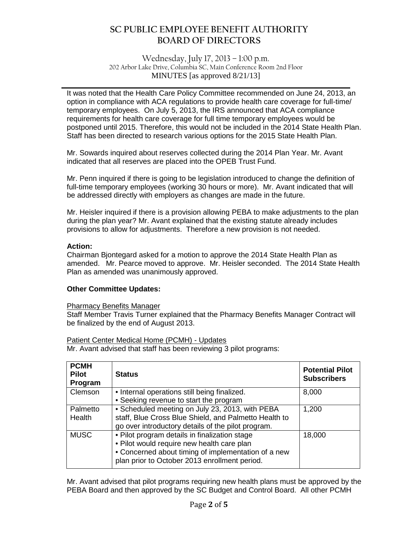Wednesday, July 17, 2013 – 1:00 p.m. 202 Arbor Lake Drive, Columbia SC, Main Conference Room 2nd Floor MINUTES [as approved 8/21/13]

**\_\_\_\_\_\_\_\_\_\_\_\_\_\_\_\_\_\_\_\_\_\_\_\_\_\_\_\_\_\_\_\_\_\_\_\_\_\_\_\_\_\_\_\_\_\_\_\_\_\_\_\_\_\_\_\_\_\_\_\_\_\_\_\_\_\_\_\_\_\_\_\_\_\_\_\_\_\_**

It was noted that the Health Care Policy Committee recommended on June 24, 2013, an option in compliance with ACA regulations to provide health care coverage for full-time/ temporary employees. On July 5, 2013, the IRS announced that ACA compliance requirements for health care coverage for full time temporary employees would be postponed until 2015. Therefore, this would not be included in the 2014 State Health Plan. Staff has been directed to research various options for the 2015 State Health Plan.

Mr. Sowards inquired about reserves collected during the 2014 Plan Year. Mr. Avant indicated that all reserves are placed into the OPEB Trust Fund.

Mr. Penn inquired if there is going to be legislation introduced to change the definition of full-time temporary employees (working 30 hours or more). Mr. Avant indicated that will be addressed directly with employers as changes are made in the future.

Mr. Heisler inquired if there is a provision allowing PEBA to make adjustments to the plan during the plan year? Mr. Avant explained that the existing statute already includes provisions to allow for adjustments. Therefore a new provision is not needed.

#### **Action:**

Chairman Bjontegard asked for a motion to approve the 2014 State Health Plan as amended. Mr. Pearce moved to approve. Mr. Heisler seconded. The 2014 State Health Plan as amended was unanimously approved.

#### **Other Committee Updates:**

#### Pharmacy Benefits Manager

Staff Member Travis Turner explained that the Pharmacy Benefits Manager Contract will be finalized by the end of August 2013.

Patient Center Medical Home (PCMH) - Updates Mr. Avant advised that staff has been reviewing 3 pilot programs:

| <b>PCMH</b><br><b>Pilot</b><br>Program | <b>Status</b>                                                                                                                                                                                       | <b>Potential Pilot</b><br><b>Subscribers</b> |
|----------------------------------------|-----------------------------------------------------------------------------------------------------------------------------------------------------------------------------------------------------|----------------------------------------------|
| <b>Clemson</b>                         | • Internal operations still being finalized.<br>• Seeking revenue to start the program                                                                                                              | 8,000                                        |
| Palmetto<br>Health                     | • Scheduled meeting on July 23, 2013, with PEBA<br>staff, Blue Cross Blue Shield, and Palmetto Health to<br>go over introductory details of the pilot program.                                      | 1,200                                        |
| <b>MUSC</b>                            | • Pilot program details in finalization stage<br>. Pilot would require new health care plan<br>• Concerned about timing of implementation of a new<br>plan prior to October 2013 enrollment period. | 18,000                                       |

Mr. Avant advised that pilot programs requiring new health plans must be approved by the PEBA Board and then approved by the SC Budget and Control Board. All other PCMH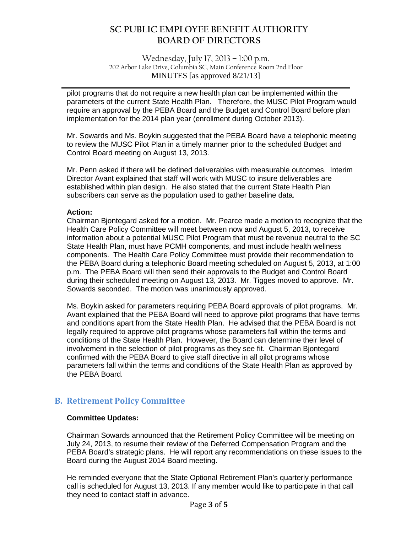Wednesday, July 17, 2013 – 1:00 p.m. 202 Arbor Lake Drive, Columbia SC, Main Conference Room 2nd Floor MINUTES [as approved 8/21/13]

**\_\_\_\_\_\_\_\_\_\_\_\_\_\_\_\_\_\_\_\_\_\_\_\_\_\_\_\_\_\_\_\_\_\_\_\_\_\_\_\_\_\_\_\_\_\_\_\_\_\_\_\_\_\_\_\_\_\_\_\_\_\_\_\_\_\_\_\_\_\_\_\_\_\_\_\_\_\_**

pilot programs that do not require a new health plan can be implemented within the parameters of the current State Health Plan. Therefore, the MUSC Pilot Program would require an approval by the PEBA Board and the Budget and Control Board before plan implementation for the 2014 plan year (enrollment during October 2013).

Mr. Sowards and Ms. Boykin suggested that the PEBA Board have a telephonic meeting to review the MUSC Pilot Plan in a timely manner prior to the scheduled Budget and Control Board meeting on August 13, 2013.

Mr. Penn asked if there will be defined deliverables with measurable outcomes. Interim Director Avant explained that staff will work with MUSC to insure deliverables are established within plan design. He also stated that the current State Health Plan subscribers can serve as the population used to gather baseline data.

#### **Action:**

Chairman Bjontegard asked for a motion. Mr. Pearce made a motion to recognize that the Health Care Policy Committee will meet between now and August 5, 2013, to receive information about a potential MUSC Pilot Program that must be revenue neutral to the SC State Health Plan, must have PCMH components, and must include health wellness components. The Health Care Policy Committee must provide their recommendation to the PEBA Board during a telephonic Board meeting scheduled on August 5, 2013, at 1:00 p.m. The PEBA Board will then send their approvals to the Budget and Control Board during their scheduled meeting on August 13, 2013. Mr. Tigges moved to approve. Mr. Sowards seconded. The motion was unanimously approved.

Ms. Boykin asked for parameters requiring PEBA Board approvals of pilot programs. Mr. Avant explained that the PEBA Board will need to approve pilot programs that have terms and conditions apart from the State Health Plan. He advised that the PEBA Board is not legally required to approve pilot programs whose parameters fall within the terms and conditions of the State Health Plan. However, the Board can determine their level of involvement in the selection of pilot programs as they see fit. Chairman Bjontegard confirmed with the PEBA Board to give staff directive in all pilot programs whose parameters fall within the terms and conditions of the State Health Plan as approved by the PEBA Board.

## **B. Retirement Policy Committee**

#### **Committee Updates:**

Chairman Sowards announced that the Retirement Policy Committee will be meeting on July 24, 2013, to resume their review of the Deferred Compensation Program and the PEBA Board's strategic plans. He will report any recommendations on these issues to the Board during the August 2014 Board meeting.

He reminded everyone that the State Optional Retirement Plan's quarterly performance call is scheduled for August 13, 2013. If any member would like to participate in that call they need to contact staff in advance.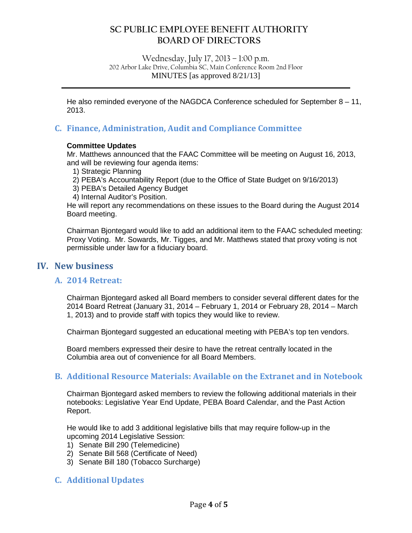Wednesday, July 17, 2013 – 1:00 p.m. 202 Arbor Lake Drive, Columbia SC, Main Conference Room 2nd Floor MINUTES [as approved 8/21/13]

**\_\_\_\_\_\_\_\_\_\_\_\_\_\_\_\_\_\_\_\_\_\_\_\_\_\_\_\_\_\_\_\_\_\_\_\_\_\_\_\_\_\_\_\_\_\_\_\_\_\_\_\_\_\_\_\_\_\_\_\_\_\_\_\_\_\_\_\_\_\_\_\_\_\_\_\_\_\_**

He also reminded everyone of the NAGDCA Conference scheduled for September  $8 - 11$ , 2013.

### **C. Finance, Administration, Audit and Compliance Committee**

#### **Committee Updates**

Mr. Matthews announced that the FAAC Committee will be meeting on August 16, 2013, and will be reviewing four agenda items:

- 1) Strategic Planning
- 2) PEBA's Accountability Report (due to the Office of State Budget on 9/16/2013)
- 3) PEBA's Detailed Agency Budget
- 4) Internal Auditor's Position.

He will report any recommendations on these issues to the Board during the August 2014 Board meeting.

Chairman Bjontegard would like to add an additional item to the FAAC scheduled meeting: Proxy Voting. Mr. Sowards, Mr. Tigges, and Mr. Matthews stated that proxy voting is not permissible under law for a fiduciary board.

### **IV. New business**

#### **A. 2014 Retreat:**

Chairman Bjontegard asked all Board members to consider several different dates for the 2014 Board Retreat (January 31, 2014 – February 1, 2014 or February 28, 2014 – March 1, 2013) and to provide staff with topics they would like to review.

Chairman Bjontegard suggested an educational meeting with PEBA's top ten vendors.

Board members expressed their desire to have the retreat centrally located in the Columbia area out of convenience for all Board Members.

#### **B. Additional Resource Materials: Available on the Extranet and in Notebook**

Chairman Bjontegard asked members to review the following additional materials in their notebooks: Legislative Year End Update, PEBA Board Calendar, and the Past Action Report.

He would like to add 3 additional legislative bills that may require follow-up in the upcoming 2014 Legislative Session:

- 1) Senate Bill 290 (Telemedicine)
- 2) Senate Bill 568 (Certificate of Need)
- 3) Senate Bill 180 (Tobacco Surcharge)

## **C. Additional Updates**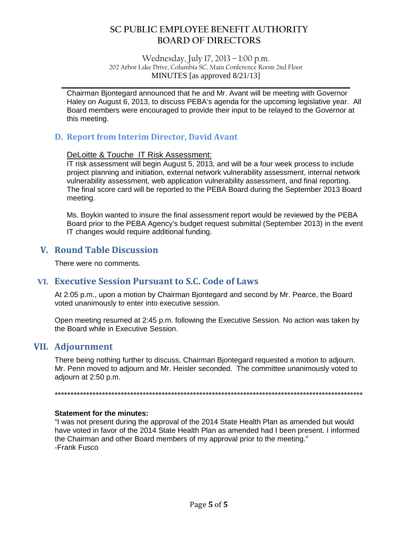Wednesday, July 17, 2013 – 1:00 p.m. 202 Arbor Lake Drive, Columbia SC, Main Conference Room 2nd Floor MINUTES [as approved 8/21/13]

**\_\_\_\_\_\_\_\_\_\_\_\_\_\_\_\_\_\_\_\_\_\_\_\_\_\_\_\_\_\_\_\_\_\_\_\_\_\_\_\_\_\_\_\_\_\_\_\_\_\_\_\_\_\_\_\_\_\_\_\_\_\_\_\_\_\_\_\_\_\_\_\_\_\_\_\_\_\_**

Chairman Bjontegard announced that he and Mr. Avant will be meeting with Governor Haley on August 6, 2013, to discuss PEBA's agenda for the upcoming legislative year. All Board members were encouraged to provide their input to be relayed to the Governor at this meeting.

### **D. Report from Interim Director, David Avant**

#### DeLoitte & Touche IT Risk Assessment:

IT risk assessment will begin August 5, 2013, and will be a four week process to include project planning and initiation, external network vulnerability assessment, internal network vulnerability assessment, web application vulnerability assessment, and final reporting. The final score card will be reported to the PEBA Board during the September 2013 Board meeting.

Ms. Boykin wanted to insure the final assessment report would be reviewed by the PEBA Board prior to the PEBA Agency's budget request submittal (September 2013) in the event IT changes would require additional funding.

## **V. Round Table Discussion**

There were no comments.

## **VI. Executive Session Pursuant to S.C. Code of Laws**

At 2:05 p.m., upon a motion by Chairman Bjontegard and second by Mr. Pearce, the Board voted unanimously to enter into executive session.

Open meeting resumed at 2:45 p.m. following the Executive Session. No action was taken by the Board while in Executive Session.

## **VII. Adjournment**

There being nothing further to discuss, Chairman Bjontegard requested a motion to adjourn. Mr. Penn moved to adjourn and Mr. Heisler seconded. The committee unanimously voted to adjourn at 2:50 p.m.

\*\*\*\*\*\*\*\*\*\*\*\*\*\*\*\*\*\*\*\*\*\*\*\*\*\*\*\*\*\*\*\*\*\*\*\*\*\*\*\*\*\*\*\*\*\*\*\*\*\*\*\*\*\*\*\*\*\*\*\*\*\*\*\*\*\*\*\*\*\*\*\*\*\*\*\*\*\*\*\*\*\*\*\*\*\*\*\*\*\*\*\*\*\*\*\*\*\*

#### **Statement for the minutes:**

"I was not present during the approval of the 2014 State Health Plan as amended but would have voted in favor of the 2014 State Health Plan as amended had I been present. I informed the Chairman and other Board members of my approval prior to the meeting." -Frank Fusco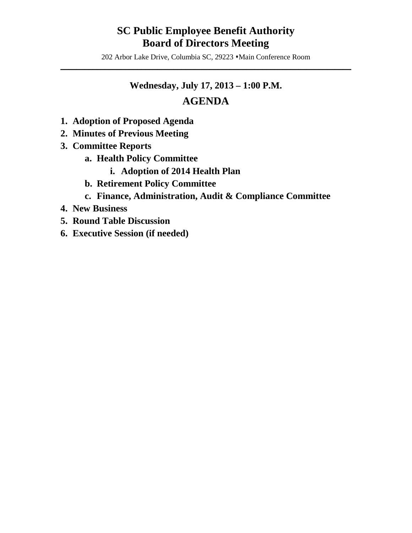# **SC Public Employee Benefit Authority Board of Directors Meeting**

202 Arbor Lake Drive, Columbia SC, 29223  $\cdot$ Main Conference Room  $\mathcal{L} = \{ \mathcal{L} \mid \mathcal{L} \in \mathcal{L} \}$ 

# **Wednesday, July 17, 2013 – 1:00 P.M.**

# **AGENDA**

- **1. Adoption of Proposed Agenda**
- **2. Minutes of Previous Meeting**
- **3. Committee Reports**
	- **a. Health Policy Committee**
		- **i. Adoption of 2014 Health Plan**
	- **b. Retirement Policy Committee**
	- **c. Finance, Administration, Audit & Compliance Committee**
- **4. New Business**
- **5. Round Table Discussion**
- **6. Executive Session (if needed)**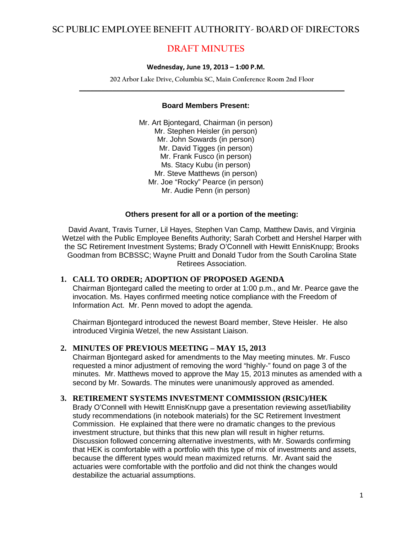# **DRAFT MINUTES**

#### **Wednesday, June 19, 2013 – 1:00 P.M.**

**202 Arbor Lake Drive, Columbia SC, Main Conference Room 2nd Floor \_\_\_\_\_\_\_\_\_\_\_\_\_\_\_\_\_\_\_\_\_\_\_\_\_\_\_\_\_\_\_\_\_\_\_\_\_\_\_\_\_\_\_\_\_\_\_\_\_\_\_\_\_\_\_\_\_\_\_\_\_\_\_\_\_\_\_\_\_\_\_\_**

#### **Board Members Present:**

Mr. Art Bjontegard, Chairman (in person) Mr. Stephen Heisler (in person) Mr. John Sowards (in person) Mr. David Tigges (in person) Mr. Frank Fusco (in person) Ms. Stacy Kubu (in person) Mr. Steve Matthews (in person) Mr. Joe "Rocky" Pearce (in person) Mr. Audie Penn (in person)

#### **Others present for all or a portion of the meeting:**

David Avant, Travis Turner, Lil Hayes, Stephen Van Camp, Matthew Davis, and Virginia Wetzel with the Public Employee Benefits Authority; Sarah Corbett and Hershel Harper with the SC Retirement Investment Systems; Brady O'Connell with Hewitt EnnisKnupp; Brooks Goodman from BCBSSC; Wayne Pruitt and Donald Tudor from the South Carolina State Retirees Association.

#### **1. CALL TO ORDER; ADOPTION OF PROPOSED AGENDA**

Chairman Bjontegard called the meeting to order at 1:00 p.m., and Mr. Pearce gave the invocation. Ms. Hayes confirmed meeting notice compliance with the Freedom of Information Act. Mr. Penn moved to adopt the agenda.

Chairman Bjontegard introduced the newest Board member, Steve Heisler. He also introduced Virginia Wetzel, the new Assistant Liaison.

#### **2. MINUTES OF PREVIOUS MEETING – MAY 15, 2013**

Chairman Bjontegard asked for amendments to the May meeting minutes. Mr. Fusco requested a minor adjustment of removing the word "highly-" found on page 3 of the minutes. Mr. Matthews moved to approve the May 15, 2013 minutes as amended with a second by Mr. Sowards. The minutes were unanimously approved as amended.

#### **3. RETIREMENT SYSTEMS INVESTMENT COMMISSION (RSIC)/HEK**

Brady O'Connell with Hewitt EnnisKnupp gave a presentation reviewing asset/liability study recommendations (in notebook materials) for the SC Retirement Investment Commission. He explained that there were no dramatic changes to the previous investment structure, but thinks that this new plan will result in higher returns. Discussion followed concerning alternative investments, with Mr. Sowards confirming that HEK is comfortable with a portfolio with this type of mix of investments and assets, because the different types would mean maximized returns. Mr. Avant said the actuaries were comfortable with the portfolio and did not think the changes would destabilize the actuarial assumptions.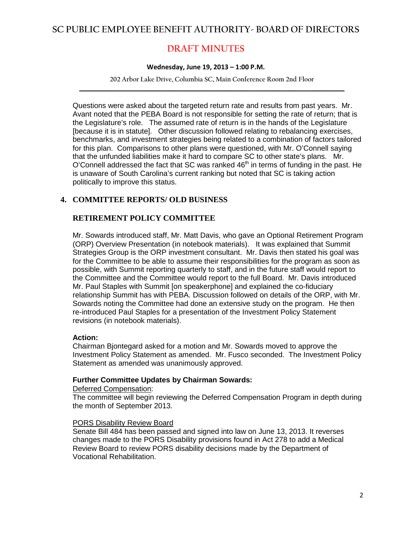# **DRAFT MINUTES**

#### **Wednesday, June 19, 2013 – 1:00 P.M.**

**202 Arbor Lake Drive, Columbia SC, Main Conference Room 2nd Floor \_\_\_\_\_\_\_\_\_\_\_\_\_\_\_\_\_\_\_\_\_\_\_\_\_\_\_\_\_\_\_\_\_\_\_\_\_\_\_\_\_\_\_\_\_\_\_\_\_\_\_\_\_\_\_\_\_\_\_\_\_\_\_\_\_\_\_\_\_\_\_\_**

Questions were asked about the targeted return rate and results from past years. Mr. Avant noted that the PEBA Board is not responsible for setting the rate of return; that is the Legislature's role. The assumed rate of return is in the hands of the Legislature [because it is in statute]. Other discussion followed relating to rebalancing exercises, benchmarks, and investment strategies being related to a combination of factors tailored for this plan. Comparisons to other plans were questioned, with Mr. O'Connell saying that the unfunded liabilities make it hard to compare SC to other state's plans. Mr.  $O'$ Connell addressed the fact that SC was ranked  $46<sup>th</sup>$  in terms of funding in the past. He is unaware of South Carolina's current ranking but noted that SC is taking action politically to improve this status.

#### **4. COMMITTEE REPORTS/ OLD BUSINESS**

#### **RETIREMENT POLICY COMMITTEE**

Mr. Sowards introduced staff, Mr. Matt Davis, who gave an Optional Retirement Program (ORP) Overview Presentation (in notebook materials). It was explained that Summit Strategies Group is the ORP investment consultant. Mr. Davis then stated his goal was for the Committee to be able to assume their responsibilities for the program as soon as possible, with Summit reporting quarterly to staff, and in the future staff would report to the Committee and the Committee would report to the full Board. Mr. Davis introduced Mr. Paul Staples with Summit [on speakerphone] and explained the co-fiduciary relationship Summit has with PEBA. Discussion followed on details of the ORP, with Mr. Sowards noting the Committee had done an extensive study on the program. He then re-introduced Paul Staples for a presentation of the Investment Policy Statement revisions (in notebook materials).

#### **Action:**

Chairman Bjontegard asked for a motion and Mr. Sowards moved to approve the Investment Policy Statement as amended. Mr. Fusco seconded. The Investment Policy Statement as amended was unanimously approved.

#### **Further Committee Updates by Chairman Sowards:**

#### Deferred Compensation:

The committee will begin reviewing the Deferred Compensation Program in depth during the month of September 2013.

#### PORS Disability Review Board

Senate Bill 484 has been passed and signed into law on June 13, 2013. It reverses changes made to the PORS Disability provisions found in Act 278 to add a Medical Review Board to review PORS disability decisions made by the Department of Vocational Rehabilitation.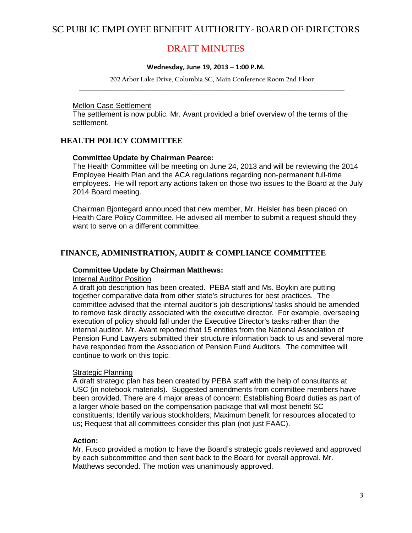## **DRAFT MINUTES**

#### **Wednesday, June 19, 2013 – 1:00 P.M.**

**202 Arbor Lake Drive, Columbia SC, Main Conference Room 2nd Floor \_\_\_\_\_\_\_\_\_\_\_\_\_\_\_\_\_\_\_\_\_\_\_\_\_\_\_\_\_\_\_\_\_\_\_\_\_\_\_\_\_\_\_\_\_\_\_\_\_\_\_\_\_\_\_\_\_\_\_\_\_\_\_\_\_\_\_\_\_\_\_\_**

#### Mellon Case Settlement

The settlement is now public. Mr. Avant provided a brief overview of the terms of the settlement.

### **HEALTH POLICY COMMITTEE**

#### **Committee Update by Chairman Pearce:**

The Health Committee will be meeting on June 24, 2013 and will be reviewing the 2014 Employee Health Plan and the ACA regulations regarding non-permanent full-time employees. He will report any actions taken on those two issues to the Board at the July 2014 Board meeting.

Chairman Bjontegard announced that new member, Mr. Heisler has been placed on Health Care Policy Committee. He advised all member to submit a request should they want to serve on a different committee.

#### **FINANCE, ADMINISTRATION, AUDIT & COMPLIANCE COMMITTEE**

#### **Committee Update by Chairman Matthews:**

#### **Internal Auditor Position**

A draft job description has been created. PEBA staff and Ms. Boykin are putting together comparative data from other state's structures for best practices. The committee advised that the internal auditor's job descriptions/ tasks should be amended to remove task directly associated with the executive director. For example, overseeing execution of policy should fall under the Executive Director's tasks rather than the internal auditor. Mr. Avant reported that 15 entities from the National Association of Pension Fund Lawyers submitted their structure information back to us and several more have responded from the Association of Pension Fund Auditors. The committee will continue to work on this topic.

#### **Strategic Planning**

A draft strategic plan has been created by PEBA staff with the help of consultants at USC (in notebook materials). Suggested amendments from committee members have been provided. There are 4 major areas of concern: Establishing Board duties as part of a larger whole based on the compensation package that will most benefit SC constituents; Identify various stockholders; Maximum benefit for resources allocated to us; Request that all committees consider this plan (not just FAAC).

#### **Action:**

Mr. Fusco provided a motion to have the Board's strategic goals reviewed and approved by each subcommittee and then sent back to the Board for overall approval. Mr. Matthews seconded. The motion was unanimously approved.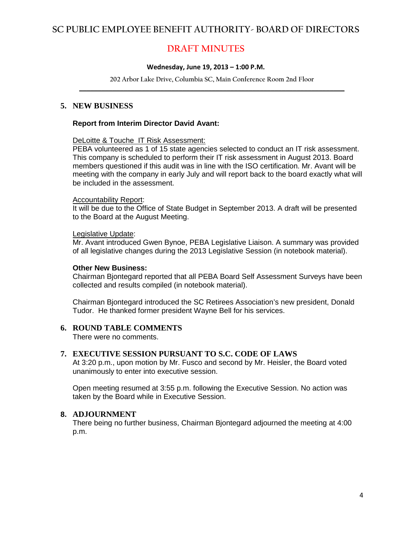# **DRAFT MINUTES**

#### **Wednesday, June 19, 2013 – 1:00 P.M.**

**202 Arbor Lake Drive, Columbia SC, Main Conference Room 2nd Floor \_\_\_\_\_\_\_\_\_\_\_\_\_\_\_\_\_\_\_\_\_\_\_\_\_\_\_\_\_\_\_\_\_\_\_\_\_\_\_\_\_\_\_\_\_\_\_\_\_\_\_\_\_\_\_\_\_\_\_\_\_\_\_\_\_\_\_\_\_\_\_\_**

#### **5. NEW BUSINESS**

#### **Report from Interim Director David Avant:**

#### DeLoitte & Touche IT Risk Assessment:

PEBA volunteered as 1 of 15 state agencies selected to conduct an IT risk assessment. This company is scheduled to perform their IT risk assessment in August 2013. Board members questioned if this audit was in line with the ISO certification. Mr. Avant will be meeting with the company in early July and will report back to the board exactly what will be included in the assessment.

#### Accountability Report:

It will be due to the Office of State Budget in September 2013. A draft will be presented to the Board at the August Meeting.

#### Legislative Update:

Mr. Avant introduced Gwen Bynoe, PEBA Legislative Liaison. A summary was provided of all legislative changes during the 2013 Legislative Session (in notebook material).

#### **Other New Business:**

Chairman Bjontegard reported that all PEBA Board Self Assessment Surveys have been collected and results compiled (in notebook material).

Chairman Bjontegard introduced the SC Retirees Association's new president, Donald Tudor. He thanked former president Wayne Bell for his services.

#### **6. ROUND TABLE COMMENTS**

There were no comments.

#### **7. EXECUTIVE SESSION PURSUANT TO S.C. CODE OF LAWS**

At 3:20 p.m., upon motion by Mr. Fusco and second by Mr. Heisler, the Board voted unanimously to enter into executive session.

Open meeting resumed at 3:55 p.m. following the Executive Session. No action was taken by the Board while in Executive Session.

#### **8. ADJOURNMENT**

There being no further business, Chairman Bjontegard adjourned the meeting at 4:00 p.m.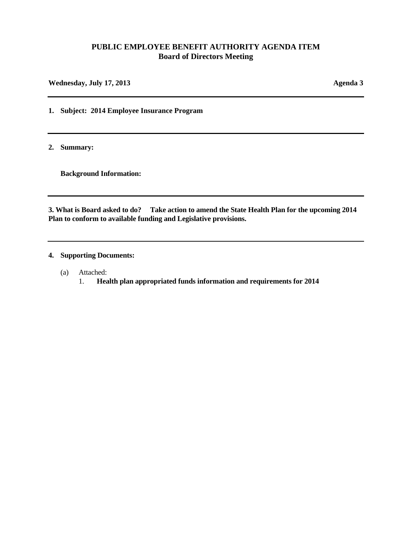#### **PUBLIC EMPLOYEE BENEFIT AUTHORITY AGENDA ITEM Board of Directors Meeting**

**Wednesday, July 17, 2013 Agenda 3**

**1. Subject: 2014 Employee Insurance Program** 

**2. Summary:** 

**Background Information:** 

**3. What is Board asked to do? Take action to amend the State Health Plan for the upcoming 2014 Plan to conform to available funding and Legislative provisions.**

**4. Supporting Documents:**

- (a) Attached:
	- 1. **Health plan appropriated funds information and requirements for 2014**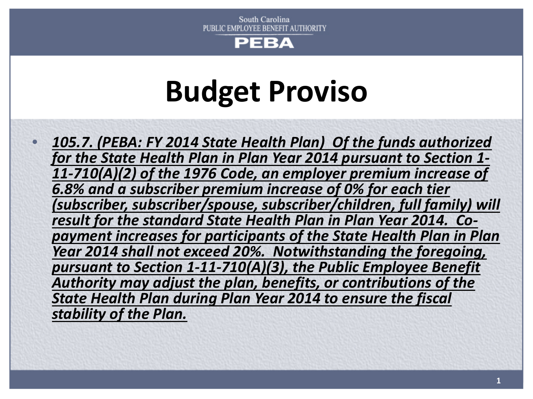

# **Budget Proviso**

• *105.7. (PEBA: FY 2014 State Health Plan) Of the funds authorized for the State Health Plan in Plan Year 2014 pursuant to Section 1- 11-710(A)(2) of the 1976 Code, an employer premium increase of 6.8% and a subscriber premium increase of 0% for each tier (subscriber, subscriber/spouse, subscriber/children, full family) will result for the standard State Health Plan in Plan Year 2014. Co- payment increases for participants of the State Health Plan in Plan Year 2014 shall not exceed 20%. Notwithstanding the foregoing, pursuant to Section 1-11-710(A)(3), the Public Employee Benefit Authority may adjust the plan, benefits, or contributions of the State Health Plan during Plan Year 2014 to ensure the fiscal stability of the Plan.*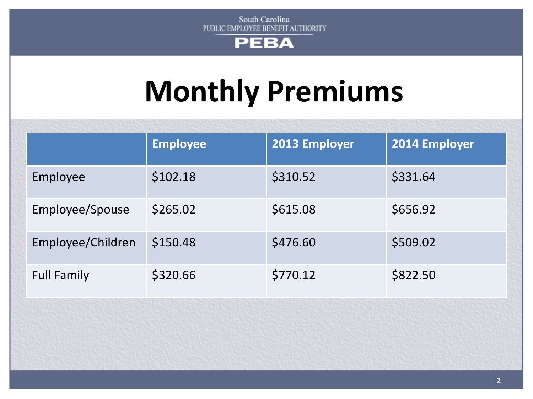

# **Monthly Premiums**

|                    | <b>Employee</b> | 2013 Employer | 2014 Employer |  |
|--------------------|-----------------|---------------|---------------|--|
| Employee           | \$102.18        | \$310.52      | \$331.64      |  |
| Employee/Spouse    | \$265.02        | \$615.08      | \$656.92      |  |
| Employee/Children  | \$150.48        | \$476.60      | \$509.02      |  |
| <b>Full Family</b> | \$320.66        | \$770.12      | \$822.50      |  |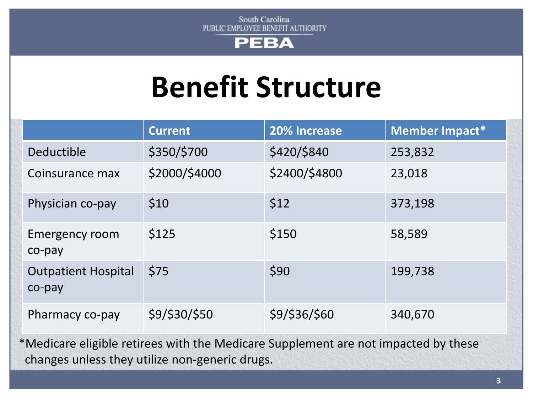

# **Benefit Structure**

|                                      | <b>Current</b> | 20% Increase  | Member Impact* |
|--------------------------------------|----------------|---------------|----------------|
| Deductible                           | \$350/\$700    | \$420/\$840   | 253,832        |
| Coinsurance max                      | \$2000/\$4000  | \$2400/\$4800 | 23,018         |
| Physician co-pay                     | \$10           | \$12          | 373,198        |
| <b>Emergency room</b><br>co-pay      | \$125          | \$150         | 58,589         |
| <b>Outpatient Hospital</b><br>co-pay | \$75           | \$90          | 199,738        |
| Pharmacy co-pay                      | \$9/\$30/\$50  | \$9/\$36/\$60 | 340,670        |

\*Medicare eligible retirees with the Medicare Supplement are not impacted by these changes unless they utilize non-generic drugs.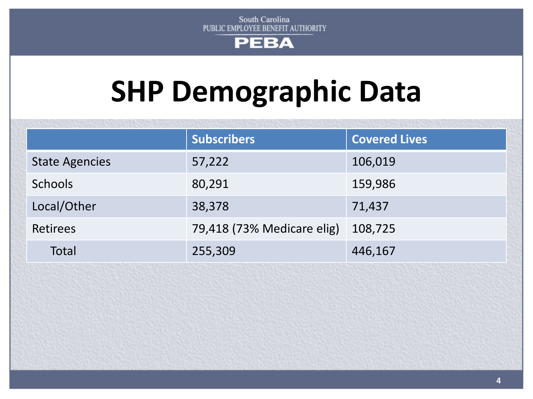

# **SHP Demographic Data**

|                       | <b>Subscribers</b>         | <b>Covered Lives</b> |
|-----------------------|----------------------------|----------------------|
|                       |                            |                      |
| <b>State Agencies</b> | 57,222                     | 106,019              |
| <b>Schools</b>        | 80,291                     | 159,986              |
| Local/Other           | 38,378                     | 71,437               |
| <b>Retirees</b>       | 79,418 (73% Medicare elig) | 108,725              |
| Total                 | 255,309                    | 446,167              |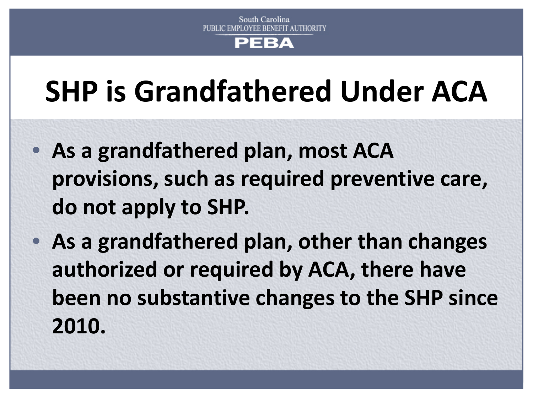# РЕВА

# **SHP is Grandfathered Under ACA**

- **As a grandfathered plan, most ACA provisions, such as required preventive care, do not apply to SHP.**
- **As a grandfathered plan, other than changes authorized or required by ACA, there have been no substantive changes to the SHP since 2010.**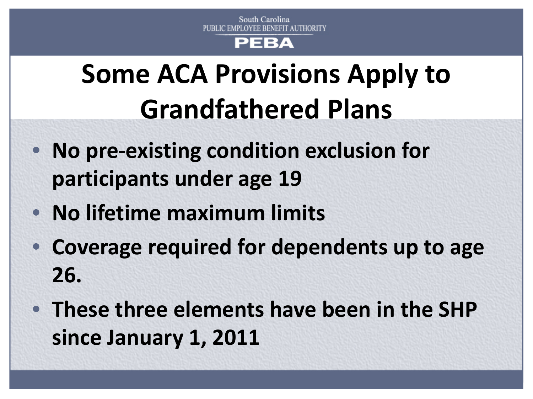# PEBA

# **Some ACA Provisions Apply to Grandfathered Plans**

- **No pre-existing condition exclusion for participants under age 19**
- **No lifetime maximum limits**
- **Coverage required for dependents up to age 26.**
- **These three elements have been in the SHP since January 1, 2011**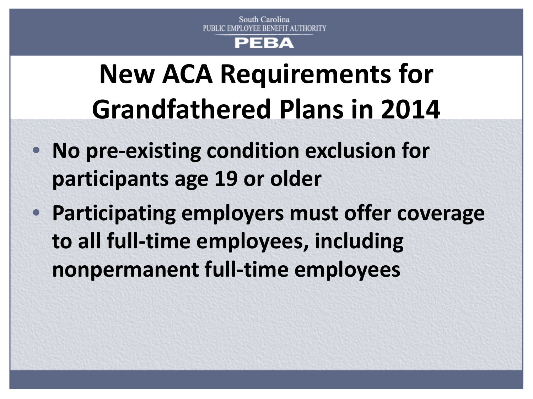# PEBA

# **New ACA Requirements for Grandfathered Plans in 2014**

- **No pre-existing condition exclusion for participants age 19 or older**
- **Participating employers must offer coverage to all full-time employees, including nonpermanent full-time employees**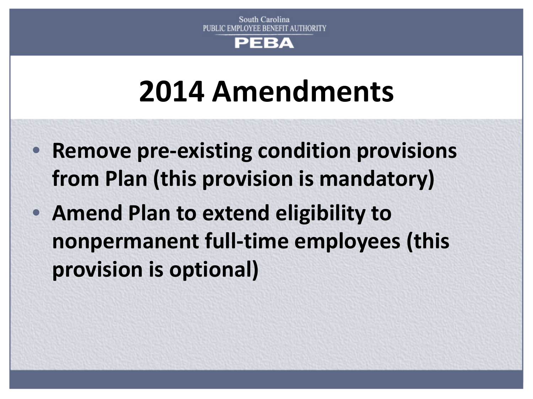

# **2014 Amendments**

- **Remove pre-existing condition provisions from Plan (this provision is mandatory)**
- **Amend Plan to extend eligibility to nonpermanent full-time employees (this provision is optional)**